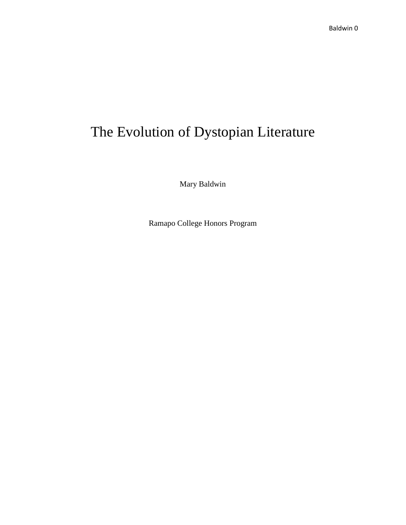# The Evolution of Dystopian Literature

Mary Baldwin

Ramapo College Honors Program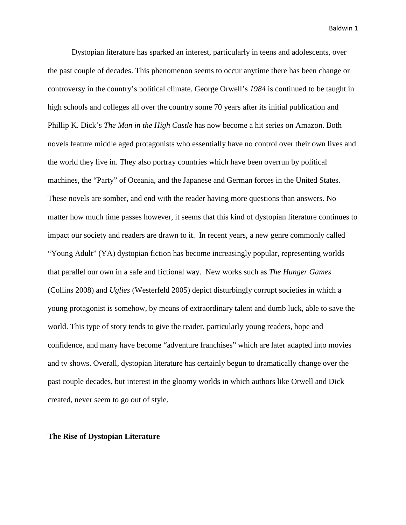Dystopian literature has sparked an interest, particularly in teens and adolescents, over the past couple of decades. This phenomenon seems to occur anytime there has been change or controversy in the country's political climate. George Orwell's *1984* is continued to be taught in high schools and colleges all over the country some 70 years after its initial publication and Phillip K. Dick's *The Man in the High Castle* has now become a hit series on Amazon. Both novels feature middle aged protagonists who essentially have no control over their own lives and the world they live in. They also portray countries which have been overrun by political machines, the "Party" of Oceania, and the Japanese and German forces in the United States. These novels are somber, and end with the reader having more questions than answers. No matter how much time passes however, it seems that this kind of dystopian literature continues to impact our society and readers are drawn to it. In recent years, a new genre commonly called "Young Adult" (YA) dystopian fiction has become increasingly popular, representing worlds that parallel our own in a safe and fictional way. New works such as *The Hunger Games* (Collins 2008) and *Uglies* (Westerfeld 2005) depict disturbingly corrupt societies in which a young protagonist is somehow, by means of extraordinary talent and dumb luck, able to save the world. This type of story tends to give the reader, particularly young readers, hope and confidence, and many have become "adventure franchises" which are later adapted into movies and tv shows. Overall, dystopian literature has certainly begun to dramatically change over the past couple decades, but interest in the gloomy worlds in which authors like Orwell and Dick created, never seem to go out of style.

## **The Rise of Dystopian Literature**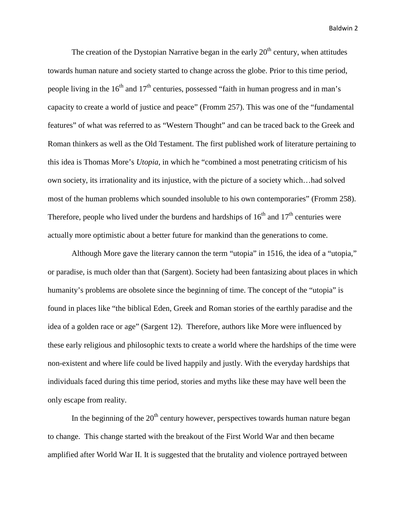The creation of the Dystopian Narrative began in the early  $20<sup>th</sup>$  century, when attitudes towards human nature and society started to change across the globe. Prior to this time period, people living in the  $16<sup>th</sup>$  and  $17<sup>th</sup>$  centuries, possessed "faith in human progress and in man's capacity to create a world of justice and peace" (Fromm 257). This was one of the "fundamental features" of what was referred to as "Western Thought" and can be traced back to the Greek and Roman thinkers as well as the Old Testament. The first published work of literature pertaining to this idea is Thomas More's *Utopia*, in which he "combined a most penetrating criticism of his own society, its irrationality and its injustice, with the picture of a society which…had solved most of the human problems which sounded insoluble to his own contemporaries" (Fromm 258). Therefore, people who lived under the burdens and hardships of  $16<sup>th</sup>$  and  $17<sup>th</sup>$  centuries were actually more optimistic about a better future for mankind than the generations to come.

Although More gave the literary cannon the term "utopia" in 1516, the idea of a "utopia," or paradise, is much older than that (Sargent). Society had been fantasizing about places in which humanity's problems are obsolete since the beginning of time. The concept of the "utopia" is found in places like "the biblical Eden, Greek and Roman stories of the earthly paradise and the idea of a golden race or age" (Sargent 12). Therefore, authors like More were influenced by these early religious and philosophic texts to create a world where the hardships of the time were non-existent and where life could be lived happily and justly. With the everyday hardships that individuals faced during this time period, stories and myths like these may have well been the only escape from reality.

In the beginning of the  $20<sup>th</sup>$  century however, perspectives towards human nature began to change. This change started with the breakout of the First World War and then became amplified after World War II. It is suggested that the brutality and violence portrayed between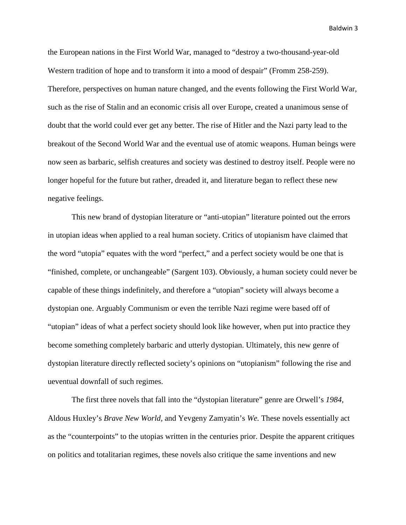the European nations in the First World War, managed to "destroy a two-thousand-year-old Western tradition of hope and to transform it into a mood of despair" (Fromm 258-259). Therefore, perspectives on human nature changed, and the events following the First World War, such as the rise of Stalin and an economic crisis all over Europe, created a unanimous sense of doubt that the world could ever get any better. The rise of Hitler and the Nazi party lead to the breakout of the Second World War and the eventual use of atomic weapons. Human beings were now seen as barbaric, selfish creatures and society was destined to destroy itself. People were no longer hopeful for the future but rather, dreaded it, and literature began to reflect these new negative feelings.

This new brand of dystopian literature or "anti-utopian" literature pointed out the errors in utopian ideas when applied to a real human society. Critics of utopianism have claimed that the word "utopia" equates with the word "perfect," and a perfect society would be one that is "finished, complete, or unchangeable" (Sargent 103). Obviously, a human society could never be capable of these things indefinitely, and therefore a "utopian" society will always become a dystopian one. Arguably Communism or even the terrible Nazi regime were based off of "utopian" ideas of what a perfect society should look like however, when put into practice they become something completely barbaric and utterly dystopian. Ultimately, this new genre of dystopian literature directly reflected society's opinions on "utopianism" following the rise and ueventual downfall of such regimes.

The first three novels that fall into the "dystopian literature" genre are Orwell's *1984,*  Aldous Huxley's *Brave New World,* and Yevgeny Zamyatin's *We.* These novels essentially act as the "counterpoints" to the utopias written in the centuries prior. Despite the apparent critiques on politics and totalitarian regimes, these novels also critique the same inventions and new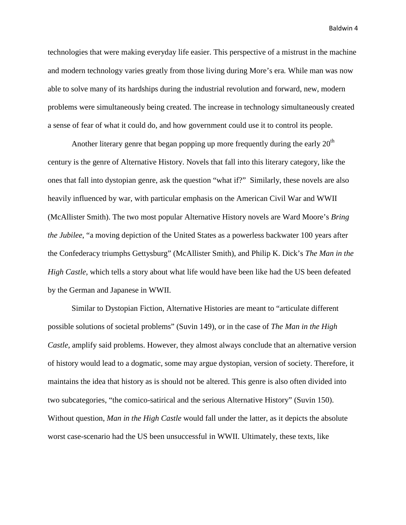technologies that were making everyday life easier. This perspective of a mistrust in the machine and modern technology varies greatly from those living during More's era*.* While man was now able to solve many of its hardships during the industrial revolution and forward, new, modern problems were simultaneously being created. The increase in technology simultaneously created a sense of fear of what it could do, and how government could use it to control its people.

Another literary genre that began popping up more frequently during the early  $20<sup>th</sup>$ century is the genre of Alternative History. Novels that fall into this literary category, like the ones that fall into dystopian genre, ask the question "what if?" Similarly, these novels are also heavily influenced by war, with particular emphasis on the American Civil War and WWII (McAllister Smith). The two most popular Alternative History novels are Ward Moore's *Bring the Jubilee*, "a moving depiction of the United States as a powerless backwater 100 years after the Confederacy triumphs Gettysburg" (McAllister Smith), and Philip K. Dick's *The Man in the High Castle,* which tells a story about what life would have been like had the US been defeated by the German and Japanese in WWII.

Similar to Dystopian Fiction, Alternative Histories are meant to "articulate different possible solutions of societal problems" (Suvin 149), or in the case of *The Man in the High Castle*, amplify said problems. However, they almost always conclude that an alternative version of history would lead to a dogmatic, some may argue dystopian, version of society. Therefore, it maintains the idea that history as is should not be altered. This genre is also often divided into two subcategories, "the comico-satirical and the serious Alternative History" (Suvin 150). Without question, *Man in the High Castle* would fall under the latter, as it depicts the absolute worst case-scenario had the US been unsuccessful in WWII. Ultimately, these texts, like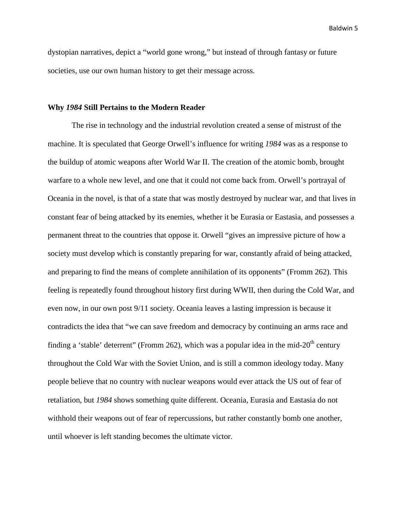dystopian narratives, depict a "world gone wrong," but instead of through fantasy or future societies, use our own human history to get their message across.

### **Why** *1984* **Still Pertains to the Modern Reader**

The rise in technology and the industrial revolution created a sense of mistrust of the machine. It is speculated that George Orwell's influence for writing *1984* was as a response to the buildup of atomic weapons after World War II. The creation of the atomic bomb, brought warfare to a whole new level, and one that it could not come back from. Orwell's portrayal of Oceania in the novel, is that of a state that was mostly destroyed by nuclear war, and that lives in constant fear of being attacked by its enemies, whether it be Eurasia or Eastasia, and possesses a permanent threat to the countries that oppose it. Orwell "gives an impressive picture of how a society must develop which is constantly preparing for war, constantly afraid of being attacked, and preparing to find the means of complete annihilation of its opponents" (Fromm 262). This feeling is repeatedly found throughout history first during WWII, then during the Cold War, and even now, in our own post 9/11 society. Oceania leaves a lasting impression is because it contradicts the idea that "we can save freedom and democracy by continuing an arms race and finding a 'stable' deterrent" (Fromm 262), which was a popular idea in the mid-20<sup>th</sup> century throughout the Cold War with the Soviet Union, and is still a common ideology today. Many people believe that no country with nuclear weapons would ever attack the US out of fear of retaliation, but *1984* shows something quite different. Oceania, Eurasia and Eastasia do not withhold their weapons out of fear of repercussions, but rather constantly bomb one another, until whoever is left standing becomes the ultimate victor.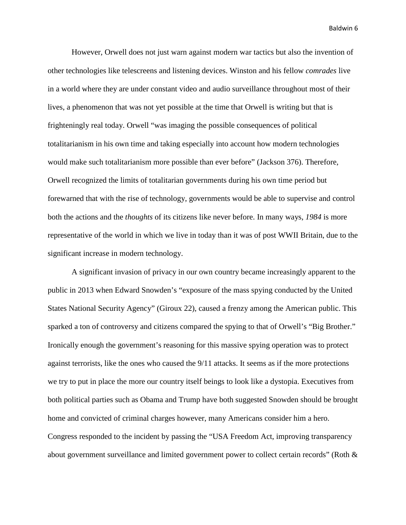However, Orwell does not just warn against modern war tactics but also the invention of other technologies like telescreens and listening devices. Winston and his fellow *comrades* live in a world where they are under constant video and audio surveillance throughout most of their lives, a phenomenon that was not yet possible at the time that Orwell is writing but that is frighteningly real today. Orwell "was imaging the possible consequences of political totalitarianism in his own time and taking especially into account how modern technologies would make such totalitarianism more possible than ever before" (Jackson 376). Therefore, Orwell recognized the limits of totalitarian governments during his own time period but forewarned that with the rise of technology, governments would be able to supervise and control both the actions and the *thoughts* of its citizens like never before. In many ways, *1984* is more representative of the world in which we live in today than it was of post WWII Britain, due to the significant increase in modern technology.

A significant invasion of privacy in our own country became increasingly apparent to the public in 2013 when Edward Snowden's "exposure of the mass spying conducted by the United States National Security Agency" (Giroux 22), caused a frenzy among the American public. This sparked a ton of controversy and citizens compared the spying to that of Orwell's "Big Brother." Ironically enough the government's reasoning for this massive spying operation was to protect against terrorists, like the ones who caused the 9/11 attacks. It seems as if the more protections we try to put in place the more our country itself beings to look like a dystopia. Executives from both political parties such as Obama and Trump have both suggested Snowden should be brought home and convicted of criminal charges however, many Americans consider him a hero. Congress responded to the incident by passing the "USA Freedom Act, improving transparency about government surveillance and limited government power to collect certain records" (Roth &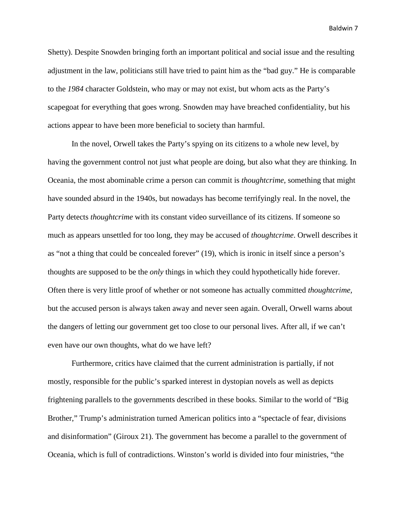Shetty). Despite Snowden bringing forth an important political and social issue and the resulting adjustment in the law, politicians still have tried to paint him as the "bad guy." He is comparable to the *1984* character Goldstein, who may or may not exist, but whom acts as the Party's scapegoat for everything that goes wrong. Snowden may have breached confidentiality, but his actions appear to have been more beneficial to society than harmful.

In the novel, Orwell takes the Party's spying on its citizens to a whole new level, by having the government control not just what people are doing, but also what they are thinking. In Oceania, the most abominable crime a person can commit is *thoughtcrime*, something that might have sounded absurd in the 1940s, but nowadays has become terrifyingly real. In the novel, the Party detects *thoughtcrime* with its constant video surveillance of its citizens. If someone so much as appears unsettled for too long, they may be accused of *thoughtcrime*. Orwell describes it as "not a thing that could be concealed forever" (19), which is ironic in itself since a person's thoughts are supposed to be the *only* things in which they could hypothetically hide forever. Often there is very little proof of whether or not someone has actually committed *thoughtcrime,*  but the accused person is always taken away and never seen again. Overall, Orwell warns about the dangers of letting our government get too close to our personal lives. After all, if we can't even have our own thoughts, what do we have left?

Furthermore, critics have claimed that the current administration is partially, if not mostly, responsible for the public's sparked interest in dystopian novels as well as depicts frightening parallels to the governments described in these books. Similar to the world of "Big Brother," Trump's administration turned American politics into a "spectacle of fear, divisions and disinformation" (Giroux 21). The government has become a parallel to the government of Oceania, which is full of contradictions. Winston's world is divided into four ministries, "the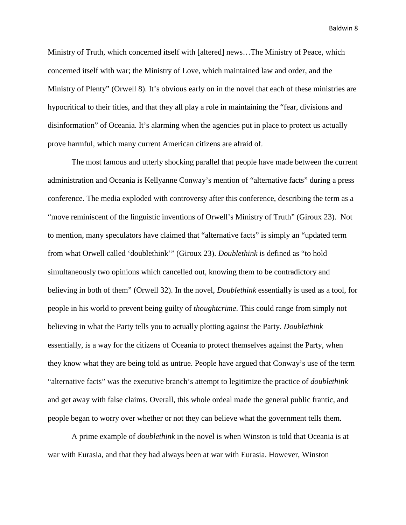Ministry of Truth, which concerned itself with [altered] news…The Ministry of Peace, which concerned itself with war; the Ministry of Love, which maintained law and order, and the Ministry of Plenty" (Orwell 8). It's obvious early on in the novel that each of these ministries are hypocritical to their titles, and that they all play a role in maintaining the "fear, divisions and disinformation" of Oceania. It's alarming when the agencies put in place to protect us actually prove harmful, which many current American citizens are afraid of.

The most famous and utterly shocking parallel that people have made between the current administration and Oceania is Kellyanne Conway's mention of "alternative facts" during a press conference. The media exploded with controversy after this conference, describing the term as a "move reminiscent of the linguistic inventions of Orwell's Ministry of Truth" (Giroux 23). Not to mention, many speculators have claimed that "alternative facts" is simply an "updated term from what Orwell called 'doublethink'" (Giroux 23). *Doublethink* is defined as "to hold simultaneously two opinions which cancelled out, knowing them to be contradictory and believing in both of them" (Orwell 32). In the novel, *Doublethink* essentially is used as a tool, for people in his world to prevent being guilty of *thoughtcrime*. This could range from simply not believing in what the Party tells you to actually plotting against the Party. *Doublethink*  essentially, is a way for the citizens of Oceania to protect themselves against the Party, when they know what they are being told as untrue. People have argued that Conway's use of the term "alternative facts" was the executive branch's attempt to legitimize the practice of *doublethink*  and get away with false claims. Overall, this whole ordeal made the general public frantic, and people began to worry over whether or not they can believe what the government tells them.

A prime example of *doublethink* in the novel is when Winston is told that Oceania is at war with Eurasia, and that they had always been at war with Eurasia. However, Winston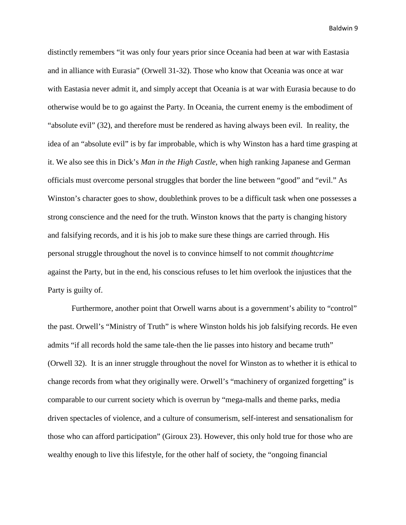distinctly remembers "it was only four years prior since Oceania had been at war with Eastasia and in alliance with Eurasia" (Orwell 31-32). Those who know that Oceania was once at war with Eastasia never admit it, and simply accept that Oceania is at war with Eurasia because to do otherwise would be to go against the Party. In Oceania, the current enemy is the embodiment of "absolute evil" (32), and therefore must be rendered as having always been evil. In reality, the idea of an "absolute evil" is by far improbable, which is why Winston has a hard time grasping at it. We also see this in Dick's *Man in the High Castle,* when high ranking Japanese and German officials must overcome personal struggles that border the line between "good" and "evil." As Winston's character goes to show, doublethink proves to be a difficult task when one possesses a strong conscience and the need for the truth. Winston knows that the party is changing history and falsifying records, and it is his job to make sure these things are carried through. His personal struggle throughout the novel is to convince himself to not commit *thoughtcrime*  against the Party, but in the end, his conscious refuses to let him overlook the injustices that the Party is guilty of.

Furthermore, another point that Orwell warns about is a government's ability to "control" the past. Orwell's "Ministry of Truth" is where Winston holds his job falsifying records. He even admits "if all records hold the same tale-then the lie passes into history and became truth" (Orwell 32). It is an inner struggle throughout the novel for Winston as to whether it is ethical to change records from what they originally were. Orwell's "machinery of organized forgetting" is comparable to our current society which is overrun by "mega-malls and theme parks, media driven spectacles of violence, and a culture of consumerism, self-interest and sensationalism for those who can afford participation" (Giroux 23). However, this only hold true for those who are wealthy enough to live this lifestyle, for the other half of society, the "ongoing financial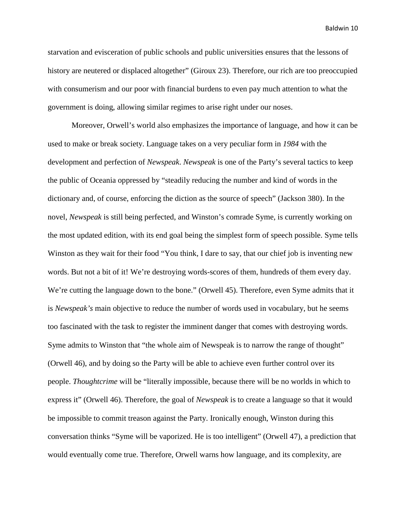starvation and evisceration of public schools and public universities ensures that the lessons of history are neutered or displaced altogether" (Giroux 23). Therefore, our rich are too preoccupied with consumerism and our poor with financial burdens to even pay much attention to what the government is doing, allowing similar regimes to arise right under our noses.

Moreover, Orwell's world also emphasizes the importance of language, and how it can be used to make or break society. Language takes on a very peculiar form in *1984* with the development and perfection of *Newspeak*. *Newspeak* is one of the Party's several tactics to keep the public of Oceania oppressed by "steadily reducing the number and kind of words in the dictionary and, of course, enforcing the diction as the source of speech" (Jackson 380). In the novel, *Newspeak* is still being perfected, and Winston's comrade Syme, is currently working on the most updated edition, with its end goal being the simplest form of speech possible. Syme tells Winston as they wait for their food "You think, I dare to say, that our chief job is inventing new words. But not a bit of it! We're destroying words-scores of them, hundreds of them every day. We're cutting the language down to the bone." (Orwell 45). Therefore, even Syme admits that it is *Newspeak's* main objective to reduce the number of words used in vocabulary, but he seems too fascinated with the task to register the imminent danger that comes with destroying words. Syme admits to Winston that "the whole aim of Newspeak is to narrow the range of thought" (Orwell 46), and by doing so the Party will be able to achieve even further control over its people. *Thoughtcrime* will be "literally impossible, because there will be no worlds in which to express it" (Orwell 46). Therefore, the goal of *Newspeak* is to create a language so that it would be impossible to commit treason against the Party. Ironically enough, Winston during this conversation thinks "Syme will be vaporized. He is too intelligent" (Orwell 47), a prediction that would eventually come true. Therefore, Orwell warns how language, and its complexity, are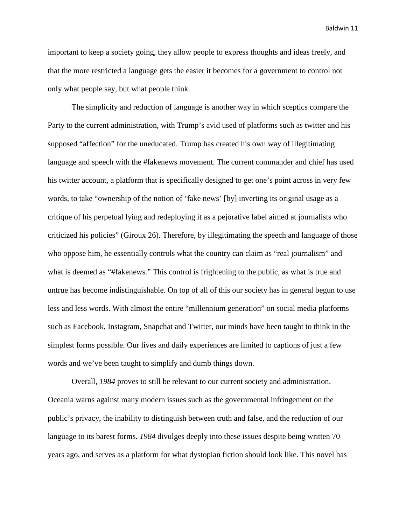important to keep a society going, they allow people to express thoughts and ideas freely, and that the more restricted a language gets the easier it becomes for a government to control not only what people say, but what people think.

The simplicity and reduction of language is another way in which sceptics compare the Party to the current administration, with Trump's avid used of platforms such as twitter and his supposed "affection" for the uneducated. Trump has created his own way of illegitimating language and speech with the #fakenews movement. The current commander and chief has used his twitter account, a platform that is specifically designed to get one's point across in very few words, to take "ownership of the notion of 'fake news' [by] inverting its original usage as a critique of his perpetual lying and redeploying it as a pejorative label aimed at journalists who criticized his policies" (Giroux 26). Therefore, by illegitimating the speech and language of those who oppose him, he essentially controls what the country can claim as "real journalism" and what is deemed as "#fakenews." This control is frightening to the public, as what is true and untrue has become indistinguishable. On top of all of this our society has in general begun to use less and less words. With almost the entire "millennium generation" on social media platforms such as Facebook, Instagram, Snapchat and Twitter, our minds have been taught to think in the simplest forms possible. Our lives and daily experiences are limited to captions of just a few words and we've been taught to simplify and dumb things down.

Overall, *1984* proves to still be relevant to our current society and administration. Oceania warns against many modern issues such as the governmental infringement on the public's privacy, the inability to distinguish between truth and false, and the reduction of our language to its barest forms. *1984* divulges deeply into these issues despite being written 70 years ago, and serves as a platform for what dystopian fiction should look like. This novel has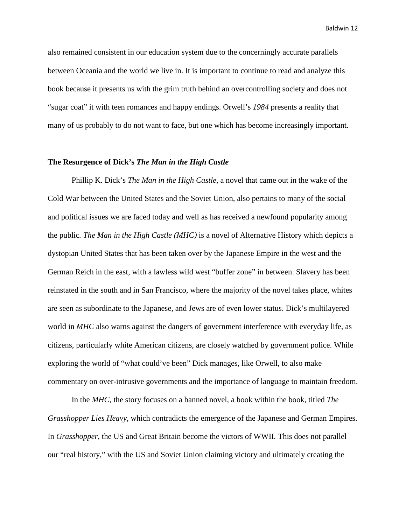also remained consistent in our education system due to the concerningly accurate parallels between Oceania and the world we live in. It is important to continue to read and analyze this book because it presents us with the grim truth behind an overcontrolling society and does not "sugar coat" it with teen romances and happy endings. Orwell's *1984* presents a reality that many of us probably to do not want to face, but one which has become increasingly important.

### **The Resurgence of Dick's** *The Man in the High Castle*

Phillip K. Dick's *The Man in the High Castle*, a novel that came out in the wake of the Cold War between the United States and the Soviet Union, also pertains to many of the social and political issues we are faced today and well as has received a newfound popularity among the public*. The Man in the High Castle (MHC)* is a novel of Alternative History which depicts a dystopian United States that has been taken over by the Japanese Empire in the west and the German Reich in the east, with a lawless wild west "buffer zone" in between. Slavery has been reinstated in the south and in San Francisco, where the majority of the novel takes place, whites are seen as subordinate to the Japanese, and Jews are of even lower status. Dick's multilayered world in *MHC* also warns against the dangers of government interference with everyday life, as citizens, particularly white American citizens, are closely watched by government police. While exploring the world of "what could've been" Dick manages, like Orwell, to also make commentary on over-intrusive governments and the importance of language to maintain freedom.

In the *MHC*, the story focuses on a banned novel, a book within the book, titled *The Grasshopper Lies Heavy,* which contradicts the emergence of the Japanese and German Empires. In *Grasshopper*, the US and Great Britain become the victors of WWII. This does not parallel our "real history," with the US and Soviet Union claiming victory and ultimately creating the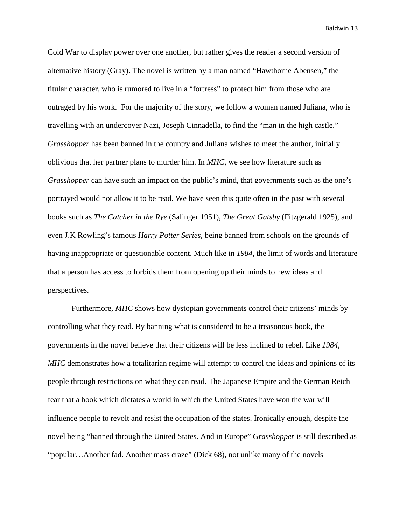Cold War to display power over one another, but rather gives the reader a second version of alternative history (Gray). The novel is written by a man named "Hawthorne Abensen," the titular character, who is rumored to live in a "fortress" to protect him from those who are outraged by his work. For the majority of the story, we follow a woman named Juliana, who is travelling with an undercover Nazi, Joseph Cinnadella, to find the "man in the high castle." *Grasshopper* has been banned in the country and Juliana wishes to meet the author, initially oblivious that her partner plans to murder him. In *MHC,* we see how literature such as *Grasshopper* can have such an impact on the public's mind, that governments such as the one's portrayed would not allow it to be read. We have seen this quite often in the past with several books such as *The Catcher in the Rye* (Salinger 1951), *The Great Gatsby* (Fitzgerald 1925), and even J.K Rowling's famous *Harry Potter Series,* being banned from schools on the grounds of having inappropriate or questionable content. Much like in *1984,* the limit of words and literature that a person has access to forbids them from opening up their minds to new ideas and perspectives.

Furthermore, *MHC* shows how dystopian governments control their citizens' minds by controlling what they read. By banning what is considered to be a treasonous book, the governments in the novel believe that their citizens will be less inclined to rebel. Like *1984, MHC* demonstrates how a totalitarian regime will attempt to control the ideas and opinions of its people through restrictions on what they can read. The Japanese Empire and the German Reich fear that a book which dictates a world in which the United States have won the war will influence people to revolt and resist the occupation of the states. Ironically enough, despite the novel being "banned through the United States. And in Europe" *Grasshopper* is still described as "popular…Another fad. Another mass craze" (Dick 68), not unlike many of the novels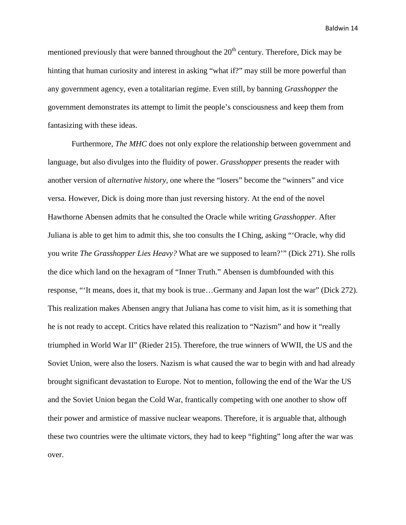mentioned previously that were banned throughout the  $20<sup>th</sup>$  century. Therefore, Dick may be hinting that human curiosity and interest in asking "what if?" may still be more powerful than any government agency, even a totalitarian regime. Even still, by banning *Grasshopper* the government demonstrates its attempt to limit the people's consciousness and keep them from fantasizing with these ideas.

Furthermore, *The MHC* does not only explore the relationship between government and language, but also divulges into the fluidity of power. *Grasshopper* presents the reader with another version of *alternative history,* one where the "losers" become the "winners" and vice versa. However, Dick is doing more than just reversing history. At the end of the novel Hawthorne Abensen admits that he consulted the Oracle while writing *Grasshopper.* After Juliana is able to get him to admit this, she too consults the I Ching, asking "'Oracle, why did you write *The Grasshopper Lies Heavy?* What are we supposed to learn?'" (Dick 271). She rolls the dice which land on the hexagram of "Inner Truth." Abensen is dumbfounded with this response, "'It means, does it, that my book is true…Germany and Japan lost the war" (Dick 272). This realization makes Abensen angry that Juliana has come to visit him, as it is something that he is not ready to accept. Critics have related this realization to "Nazism" and how it "really triumphed in World War II" (Rieder 215). Therefore, the true winners of WWII, the US and the Soviet Union, were also the losers. Nazism is what caused the war to begin with and had already brought significant devastation to Europe. Not to mention, following the end of the War the US and the Soviet Union began the Cold War, frantically competing with one another to show off their power and armistice of massive nuclear weapons. Therefore, it is arguable that, although these two countries were the ultimate victors, they had to keep "fighting" long after the war was over.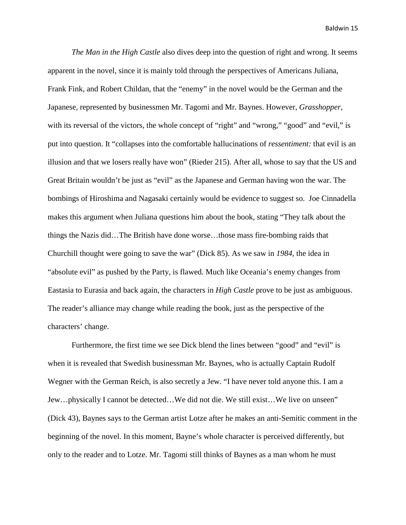*The Man in the High Castle* also dives deep into the question of right and wrong. It seems apparent in the novel, since it is mainly told through the perspectives of Americans Juliana, Frank Fink, and Robert Childan, that the "enemy" in the novel would be the German and the Japanese, represented by businessmen Mr. Tagomi and Mr. Baynes. However, *Grasshopper*, with its reversal of the victors, the whole concept of "right" and "wrong," "good" and "evil," is put into question. It "collapses into the comfortable hallucinations of *ressentiment:* that evil is an illusion and that we losers really have won" (Rieder 215). After all, whose to say that the US and Great Britain wouldn't be just as "evil" as the Japanese and German having won the war. The bombings of Hiroshima and Nagasaki certainly would be evidence to suggest so. Joe Cinnadella makes this argument when Juliana questions him about the book, stating "They talk about the things the Nazis did…The British have done worse…those mass fire-bombing raids that Churchill thought were going to save the war" (Dick 85). As we saw in *1984*, the idea in "absolute evil" as pushed by the Party, is flawed. Much like Oceania's enemy changes from Eastasia to Eurasia and back again, the characters in *High Castle* prove to be just as ambiguous. The reader's alliance may change while reading the book, just as the perspective of the characters' change.

Furthermore, the first time we see Dick blend the lines between "good" and "evil" is when it is revealed that Swedish businessman Mr. Baynes, who is actually Captain Rudolf Wegner with the German Reich, is also secretly a Jew. "I have never told anyone this. I am a Jew…physically I cannot be detected…We did not die. We still exist…We live on unseen" (Dick 43), Baynes says to the German artist Lotze after he makes an anti-Semitic comment in the beginning of the novel. In this moment, Bayne's whole character is perceived differently, but only to the reader and to Lotze. Mr. Tagomi still thinks of Baynes as a man whom he must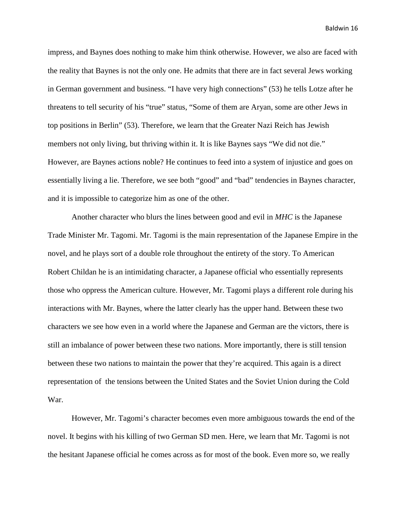impress, and Baynes does nothing to make him think otherwise. However, we also are faced with the reality that Baynes is not the only one. He admits that there are in fact several Jews working in German government and business. "I have very high connections" (53) he tells Lotze after he threatens to tell security of his "true" status, "Some of them are Aryan, some are other Jews in top positions in Berlin" (53). Therefore, we learn that the Greater Nazi Reich has Jewish members not only living, but thriving within it. It is like Baynes says "We did not die." However, are Baynes actions noble? He continues to feed into a system of injustice and goes on essentially living a lie. Therefore, we see both "good" and "bad" tendencies in Baynes character, and it is impossible to categorize him as one of the other.

Another character who blurs the lines between good and evil in *MHC* is the Japanese Trade Minister Mr. Tagomi. Mr. Tagomi is the main representation of the Japanese Empire in the novel, and he plays sort of a double role throughout the entirety of the story. To American Robert Childan he is an intimidating character, a Japanese official who essentially represents those who oppress the American culture. However, Mr. Tagomi plays a different role during his interactions with Mr. Baynes, where the latter clearly has the upper hand. Between these two characters we see how even in a world where the Japanese and German are the victors, there is still an imbalance of power between these two nations. More importantly, there is still tension between these two nations to maintain the power that they're acquired. This again is a direct representation of the tensions between the United States and the Soviet Union during the Cold War.

However, Mr. Tagomi's character becomes even more ambiguous towards the end of the novel. It begins with his killing of two German SD men. Here, we learn that Mr. Tagomi is not the hesitant Japanese official he comes across as for most of the book. Even more so, we really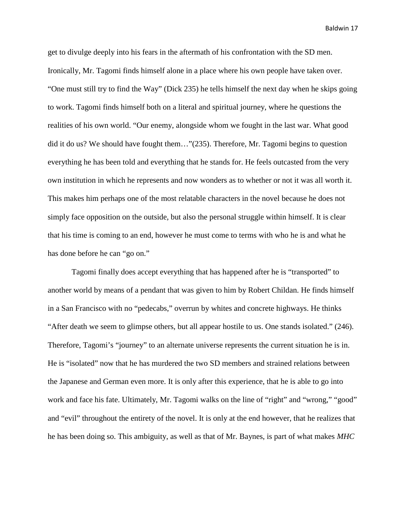get to divulge deeply into his fears in the aftermath of his confrontation with the SD men. Ironically, Mr. Tagomi finds himself alone in a place where his own people have taken over. "One must still try to find the Way" (Dick 235) he tells himself the next day when he skips going to work. Tagomi finds himself both on a literal and spiritual journey, where he questions the realities of his own world. "Our enemy, alongside whom we fought in the last war. What good did it do us? We should have fought them…"(235). Therefore, Mr. Tagomi begins to question everything he has been told and everything that he stands for. He feels outcasted from the very own institution in which he represents and now wonders as to whether or not it was all worth it. This makes him perhaps one of the most relatable characters in the novel because he does not simply face opposition on the outside, but also the personal struggle within himself. It is clear that his time is coming to an end, however he must come to terms with who he is and what he has done before he can "go on."

Tagomi finally does accept everything that has happened after he is "transported" to another world by means of a pendant that was given to him by Robert Childan. He finds himself in a San Francisco with no "pedecabs," overrun by whites and concrete highways. He thinks "After death we seem to glimpse others, but all appear hostile to us. One stands isolated." (246). Therefore, Tagomi's "journey" to an alternate universe represents the current situation he is in. He is "isolated" now that he has murdered the two SD members and strained relations between the Japanese and German even more. It is only after this experience, that he is able to go into work and face his fate. Ultimately, Mr. Tagomi walks on the line of "right" and "wrong," "good" and "evil" throughout the entirety of the novel. It is only at the end however, that he realizes that he has been doing so. This ambiguity, as well as that of Mr. Baynes, is part of what makes *MHC*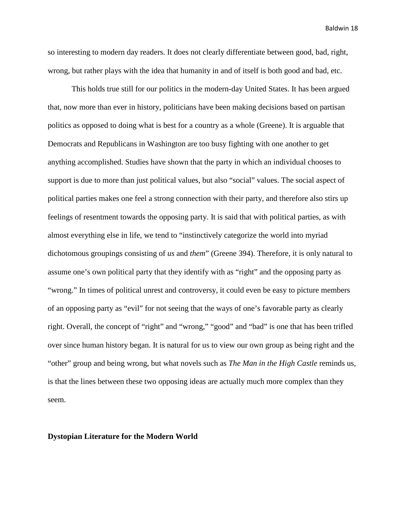so interesting to modern day readers. It does not clearly differentiate between good, bad, right, wrong, but rather plays with the idea that humanity in and of itself is both good and bad, etc.

This holds true still for our politics in the modern-day United States. It has been argued that, now more than ever in history, politicians have been making decisions based on partisan politics as opposed to doing what is best for a country as a whole (Greene). It is arguable that Democrats and Republicans in Washington are too busy fighting with one another to get anything accomplished. Studies have shown that the party in which an individual chooses to support is due to more than just political values, but also "social" values. The social aspect of political parties makes one feel a strong connection with their party, and therefore also stirs up feelings of resentment towards the opposing party. It is said that with political parties, as with almost everything else in life, we tend to "instinctively categorize the world into myriad dichotomous groupings consisting of *us* and *them*" (Greene 394). Therefore, it is only natural to assume one's own political party that they identify with as "right" and the opposing party as "wrong." In times of political unrest and controversy, it could even be easy to picture members of an opposing party as "evil" for not seeing that the ways of one's favorable party as clearly right. Overall, the concept of "right" and "wrong," "good" and "bad" is one that has been trifled over since human history began. It is natural for us to view our own group as being right and the "other" group and being wrong, but what novels such as *The Man in the High Castle* reminds us, is that the lines between these two opposing ideas are actually much more complex than they seem.

#### **Dystopian Literature for the Modern World**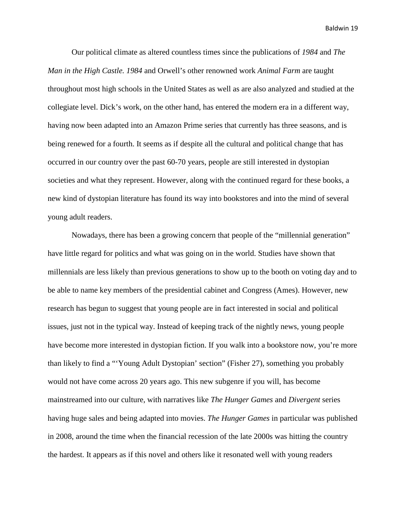Our political climate as altered countless times since the publications of *1984* and *The Man in the High Castle. 1984* and Orwell's other renowned work *Animal Farm* are taught throughout most high schools in the United States as well as are also analyzed and studied at the collegiate level. Dick's work, on the other hand, has entered the modern era in a different way, having now been adapted into an Amazon Prime series that currently has three seasons, and is being renewed for a fourth. It seems as if despite all the cultural and political change that has occurred in our country over the past 60-70 years, people are still interested in dystopian societies and what they represent. However, along with the continued regard for these books, a new kind of dystopian literature has found its way into bookstores and into the mind of several young adult readers.

Nowadays, there has been a growing concern that people of the "millennial generation" have little regard for politics and what was going on in the world. Studies have shown that millennials are less likely than previous generations to show up to the booth on voting day and to be able to name key members of the presidential cabinet and Congress (Ames). However, new research has begun to suggest that young people are in fact interested in social and political issues, just not in the typical way. Instead of keeping track of the nightly news, young people have become more interested in dystopian fiction. If you walk into a bookstore now, you're more than likely to find a "'Young Adult Dystopian' section" (Fisher 27), something you probably would not have come across 20 years ago. This new subgenre if you will, has become mainstreamed into our culture, with narratives like *The Hunger Games* and *Divergent* series having huge sales and being adapted into movies. *The Hunger Games* in particular was published in 2008, around the time when the financial recession of the late 2000s was hitting the country the hardest. It appears as if this novel and others like it resonated well with young readers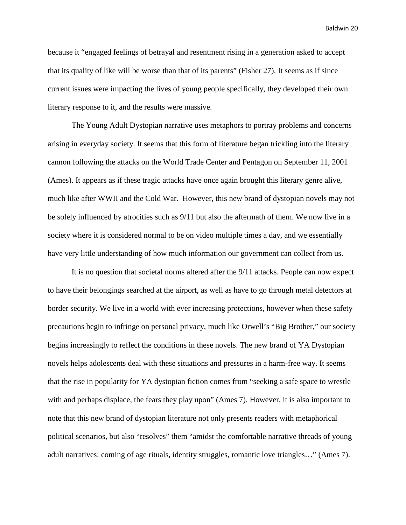because it "engaged feelings of betrayal and resentment rising in a generation asked to accept that its quality of like will be worse than that of its parents" (Fisher 27). It seems as if since current issues were impacting the lives of young people specifically, they developed their own literary response to it, and the results were massive.

The Young Adult Dystopian narrative uses metaphors to portray problems and concerns arising in everyday society. It seems that this form of literature began trickling into the literary cannon following the attacks on the World Trade Center and Pentagon on September 11, 2001 (Ames). It appears as if these tragic attacks have once again brought this literary genre alive, much like after WWII and the Cold War. However, this new brand of dystopian novels may not be solely influenced by atrocities such as 9/11 but also the aftermath of them. We now live in a society where it is considered normal to be on video multiple times a day, and we essentially have very little understanding of how much information our government can collect from us.

It is no question that societal norms altered after the 9/11 attacks. People can now expect to have their belongings searched at the airport, as well as have to go through metal detectors at border security. We live in a world with ever increasing protections, however when these safety precautions begin to infringe on personal privacy, much like Orwell's "Big Brother," our society begins increasingly to reflect the conditions in these novels. The new brand of YA Dystopian novels helps adolescents deal with these situations and pressures in a harm-free way. It seems that the rise in popularity for YA dystopian fiction comes from "seeking a safe space to wrestle with and perhaps displace, the fears they play upon" (Ames 7). However, it is also important to note that this new brand of dystopian literature not only presents readers with metaphorical political scenarios, but also "resolves" them "amidst the comfortable narrative threads of young adult narratives: coming of age rituals, identity struggles, romantic love triangles…" (Ames 7).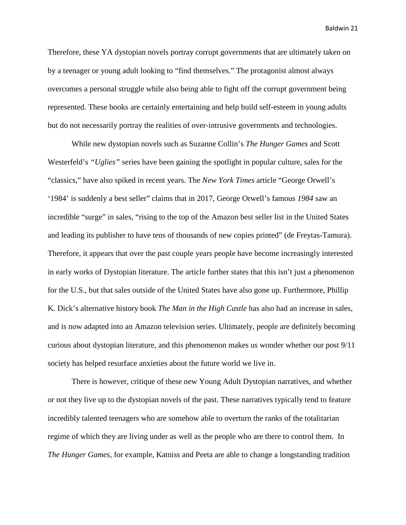Therefore, these YA dystopian novels portray corrupt governments that are ultimately taken on by a teenager or young adult looking to "find themselves." The protagonist almost always overcomes a personal struggle while also being able to fight off the corrupt government being represented. These books are certainly entertaining and help build self-esteem in young adults but do not necessarily portray the realities of over-intrusive governments and technologies.

While new dystopian novels such as Suzanne Collin's *The Hunger Games* and Scott Westerfeld's *"Uglies"* series have been gaining the spotlight in popular culture, sales for the "classics," have also spiked in recent years. The *New York Times* article "George Orwell's '1984' is suddenly a best seller" claims that in 2017, George Orwell's famous *1984* saw an incredible "surge" in sales, "rising to the top of the Amazon best seller list in the United States and leading its publisher to have tens of thousands of new copies printed" (de Freytas-Tamura). Therefore, it appears that over the past couple years people have become increasingly interested in early works of Dystopian literature. The article further states that this isn't just a phenomenon for the U.S., but that sales outside of the United States have also gone up. Furthermore, Phillip K. Dick's alternative history book *The Man in the High Castle* has also had an increase in sales, and is now adapted into an Amazon television series. Ultimately, people are definitely becoming curious about dystopian literature, and this phenomenon makes us wonder whether our post 9/11 society has helped resurface anxieties about the future world we live in.

There is however, critique of these new Young Adult Dystopian narratives, and whether or not they live up to the dystopian novels of the past. These narratives typically tend to feature incredibly talented teenagers who are somehow able to overturn the ranks of the totalitarian regime of which they are living under as well as the people who are there to control them. In *The Hunger Games*, for example, Katniss and Peeta are able to change a longstanding tradition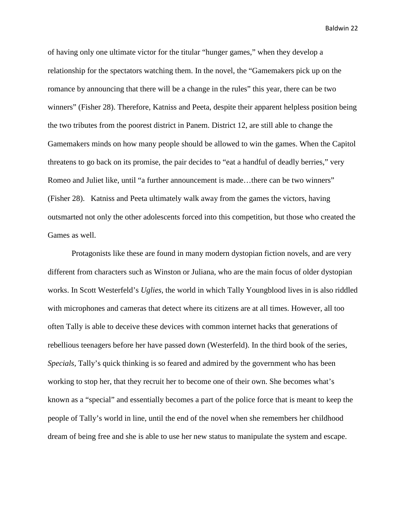of having only one ultimate victor for the titular "hunger games," when they develop a relationship for the spectators watching them. In the novel, the "Gamemakers pick up on the romance by announcing that there will be a change in the rules" this year, there can be two winners" (Fisher 28). Therefore, Katniss and Peeta, despite their apparent helpless position being the two tributes from the poorest district in Panem. District 12, are still able to change the Gamemakers minds on how many people should be allowed to win the games. When the Capitol threatens to go back on its promise, the pair decides to "eat a handful of deadly berries," very Romeo and Juliet like, until "a further announcement is made…there can be two winners" (Fisher 28). Katniss and Peeta ultimately walk away from the games the victors, having outsmarted not only the other adolescents forced into this competition, but those who created the Games as well.

Protagonists like these are found in many modern dystopian fiction novels, and are very different from characters such as Winston or Juliana, who are the main focus of older dystopian works. In Scott Westerfeld's *Uglies,* the world in which Tally Youngblood lives in is also riddled with microphones and cameras that detect where its citizens are at all times. However, all too often Tally is able to deceive these devices with common internet hacks that generations of rebellious teenagers before her have passed down (Westerfeld). In the third book of the series, *Specials,* Tally's quick thinking is so feared and admired by the government who has been working to stop her, that they recruit her to become one of their own. She becomes what's known as a "special" and essentially becomes a part of the police force that is meant to keep the people of Tally's world in line, until the end of the novel when she remembers her childhood dream of being free and she is able to use her new status to manipulate the system and escape.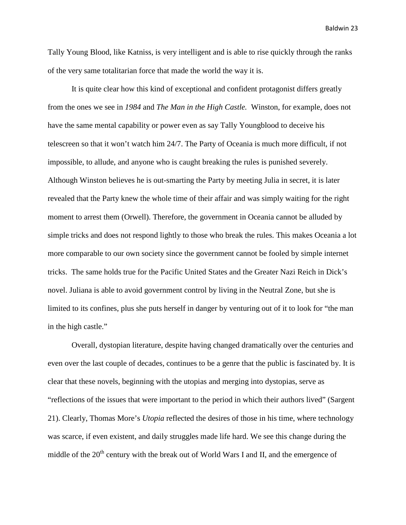Tally Young Blood, like Katniss, is very intelligent and is able to rise quickly through the ranks of the very same totalitarian force that made the world the way it is.

It is quite clear how this kind of exceptional and confident protagonist differs greatly from the ones we see in *1984* and *The Man in the High Castle.* Winston, for example, does not have the same mental capability or power even as say Tally Youngblood to deceive his telescreen so that it won't watch him 24/7. The Party of Oceania is much more difficult, if not impossible, to allude, and anyone who is caught breaking the rules is punished severely. Although Winston believes he is out-smarting the Party by meeting Julia in secret, it is later revealed that the Party knew the whole time of their affair and was simply waiting for the right moment to arrest them (Orwell). Therefore, the government in Oceania cannot be alluded by simple tricks and does not respond lightly to those who break the rules. This makes Oceania a lot more comparable to our own society since the government cannot be fooled by simple internet tricks. The same holds true for the Pacific United States and the Greater Nazi Reich in Dick's novel. Juliana is able to avoid government control by living in the Neutral Zone, but she is limited to its confines, plus she puts herself in danger by venturing out of it to look for "the man in the high castle."

Overall, dystopian literature, despite having changed dramatically over the centuries and even over the last couple of decades, continues to be a genre that the public is fascinated by. It is clear that these novels, beginning with the utopias and merging into dystopias, serve as "reflections of the issues that were important to the period in which their authors lived" (Sargent 21). Clearly, Thomas More's *Utopia* reflected the desires of those in his time, where technology was scarce, if even existent, and daily struggles made life hard. We see this change during the middle of the  $20<sup>th</sup>$  century with the break out of World Wars I and II, and the emergence of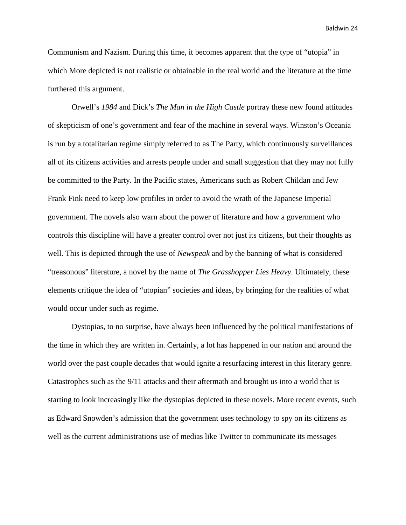Communism and Nazism. During this time, it becomes apparent that the type of "utopia" in which More depicted is not realistic or obtainable in the real world and the literature at the time furthered this argument.

Orwell's *1984* and Dick's *The Man in the High Castle* portray these new found attitudes of skepticism of one's government and fear of the machine in several ways. Winston's Oceania is run by a totalitarian regime simply referred to as The Party, which continuously surveillances all of its citizens activities and arrests people under and small suggestion that they may not fully be committed to the Party. In the Pacific states, Americans such as Robert Childan and Jew Frank Fink need to keep low profiles in order to avoid the wrath of the Japanese Imperial government. The novels also warn about the power of literature and how a government who controls this discipline will have a greater control over not just its citizens, but their thoughts as well. This is depicted through the use of *Newspeak* and by the banning of what is considered "treasonous" literature, a novel by the name of *The Grasshopper Lies Heavy.* Ultimately, these elements critique the idea of "utopian" societies and ideas, by bringing for the realities of what would occur under such as regime.

Dystopias, to no surprise, have always been influenced by the political manifestations of the time in which they are written in. Certainly, a lot has happened in our nation and around the world over the past couple decades that would ignite a resurfacing interest in this literary genre. Catastrophes such as the 9/11 attacks and their aftermath and brought us into a world that is starting to look increasingly like the dystopias depicted in these novels. More recent events, such as Edward Snowden's admission that the government uses technology to spy on its citizens as well as the current administrations use of medias like Twitter to communicate its messages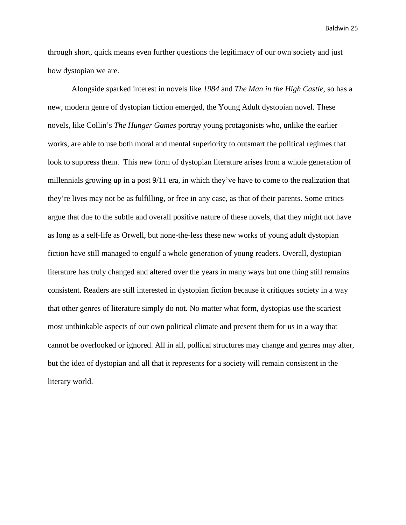through short, quick means even further questions the legitimacy of our own society and just how dystopian we are.

Alongside sparked interest in novels like *1984* and *The Man in the High Castle,* so has a new, modern genre of dystopian fiction emerged, the Young Adult dystopian novel. These novels, like Collin's *The Hunger Games* portray young protagonists who, unlike the earlier works, are able to use both moral and mental superiority to outsmart the political regimes that look to suppress them. This new form of dystopian literature arises from a whole generation of millennials growing up in a post 9/11 era, in which they've have to come to the realization that they're lives may not be as fulfilling, or free in any case, as that of their parents. Some critics argue that due to the subtle and overall positive nature of these novels, that they might not have as long as a self-life as Orwell, but none-the-less these new works of young adult dystopian fiction have still managed to engulf a whole generation of young readers. Overall, dystopian literature has truly changed and altered over the years in many ways but one thing still remains consistent. Readers are still interested in dystopian fiction because it critiques society in a way that other genres of literature simply do not. No matter what form, dystopias use the scariest most unthinkable aspects of our own political climate and present them for us in a way that cannot be overlooked or ignored. All in all, pollical structures may change and genres may alter, but the idea of dystopian and all that it represents for a society will remain consistent in the literary world.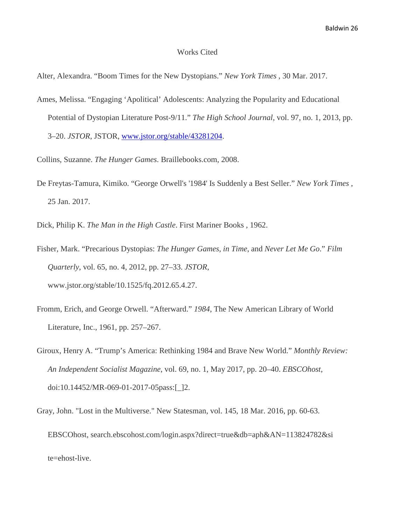#### Works Cited

Alter, Alexandra. "Boom Times for the New Dystopians." *New York Times* , 30 Mar. 2017.

- Ames, Melissa. "Engaging 'Apolitical' Adolescents: Analyzing the Popularity and Educational Potential of Dystopian Literature Post-9/11." *The High School Journal*, vol. 97, no. 1, 2013, pp. 3–20. *JSTOR*, JSTOR, [www.jstor.org/stable/43281204.](http://www.jstor.org/stable/43281204)
- Collins, Suzanne. *The Hunger Games*. Braillebooks.com, 2008.
- De Freytas-Tamura, Kimiko. "George Orwell's '1984' Is Suddenly a Best Seller." *New York Times* , 25 Jan. 2017.
- Dick, Philip K. *The Man in the High Castle*. First Mariner Books , 1962.
- Fisher, Mark. "Precarious Dystopias: *The Hunger Games, in Time*, and *Never Let Me Go*." *Film Quarterly*, vol. 65, no. 4, 2012, pp. 27–33. *JSTOR*, www.jstor.org/stable/10.1525/fq.2012.65.4.27.
- Fromm, Erich, and George Orwell. "Afterward." *1984*, The New American Library of World Literature, Inc., 1961, pp. 257–267.
- Giroux, Henry A. "Trump's America: Rethinking 1984 and Brave New World." *Monthly Review: An Independent Socialist Magazine*, vol. 69, no. 1, May 2017, pp. 20–40. *EBSCOhost*, doi:10.14452/MR-069-01-2017-05pass:[\_]2.
- Gray, John. "Lost in the Multiverse." New Statesman, vol. 145, 18 Mar. 2016, pp. 60-63. EBSCOhost, search.ebscohost.com/login.aspx?direct=true&db=aph&AN=113824782&si te=ehost-live.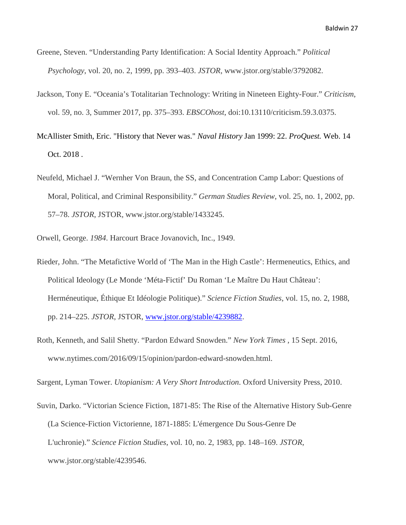- Greene, Steven. "Understanding Party Identification: A Social Identity Approach." *Political Psychology*, vol. 20, no. 2, 1999, pp. 393–403. *JSTOR*, www.jstor.org/stable/3792082.
- Jackson, Tony E. "Oceania's Totalitarian Technology: Writing in Nineteen Eighty-Four." *Criticism*, vol. 59, no. 3, Summer 2017, pp. 375–393. *EBSCOhost*, doi:10.13110/criticism.59.3.0375.
- McAllister Smith, Eric. "History that Never was." *Naval History* Jan 1999: 22. *ProQuest.* Web. 14 Oct. 2018 .
- Neufeld, Michael J. "Wernher Von Braun, the SS, and Concentration Camp Labor: Questions of Moral, Political, and Criminal Responsibility." *German Studies Review*, vol. 25, no. 1, 2002, pp. 57–78. *JSTOR*, JSTOR, www.jstor.org/stable/1433245.
- Orwell, George. *1984*. Harcourt Brace Jovanovich, Inc., 1949.
- Rieder, John. "The Metafictive World of 'The Man in the High Castle': Hermeneutics, Ethics, and Political Ideology (Le Monde 'Méta-Fictif' Du Roman 'Le Maître Du Haut Château': Herméneutique, Éthique Et Idéologie Politique)." *Science Fiction Studies*, vol. 15, no. 2, 1988, pp. 214–225. *JSTOR*, JSTOR, [www.jstor.org/stable/4239882.](http://www.jstor.org/stable/4239882)
- Roth, Kenneth, and Salil Shetty. "Pardon Edward Snowden." *New York Times* , 15 Sept. 2016, www.nytimes.com/2016/09/15/opinion/pardon-edward-snowden.html.

Sargent, Lyman Tower. *Utopianism: A Very Short Introduction*. Oxford University Press, 2010.

Suvin, Darko. "Victorian Science Fiction, 1871-85: The Rise of the Alternative History Sub-Genre (La Science-Fiction Victorienne, 1871-1885: L'émergence Du Sous-Genre De L'uchronie)." *Science Fiction Studies*, vol. 10, no. 2, 1983, pp. 148–169. *JSTOR*, www.jstor.org/stable/4239546.